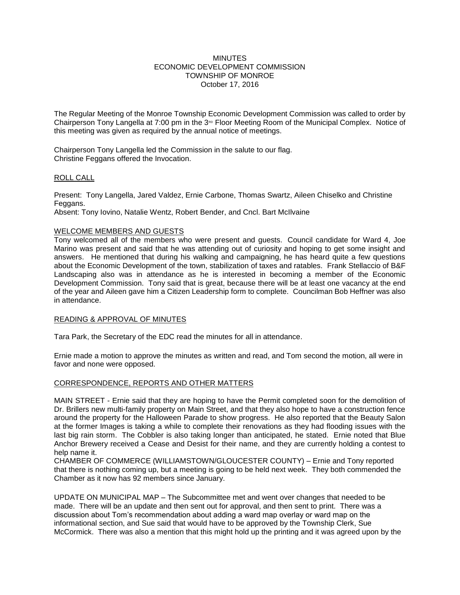### **MINUTES** ECONOMIC DEVELOPMENT COMMISSION TOWNSHIP OF MONROE October 17, 2016

The Regular Meeting of the Monroe Township Economic Development Commission was called to order by Chairperson Tony Langella at 7:00 pm in the  $3^{80}$  Floor Meeting Room of the Municipal Complex. Notice of this meeting was given as required by the annual notice of meetings.

Chairperson Tony Langella led the Commission in the salute to our flag. Christine Feggans offered the Invocation.

## ROLL CALL

Present: Tony Langella, Jared Valdez, Ernie Carbone, Thomas Swartz, Aileen Chiselko and Christine Feggans.

Absent: Tony Iovino, Natalie Wentz, Robert Bender, and Cncl. Bart McIlvaine

## WELCOME MEMBERS AND GUESTS

Tony welcomed all of the members who were present and guests. Council candidate for Ward 4, Joe Marino was present and said that he was attending out of curiosity and hoping to get some insight and answers. He mentioned that during his walking and campaigning, he has heard quite a few questions about the Economic Development of the town, stabilization of taxes and ratables. Frank Stellaccio of B&F Landscaping also was in attendance as he is interested in becoming a member of the Economic Development Commission. Tony said that is great, because there will be at least one vacancy at the end of the year and Aileen gave him a Citizen Leadership form to complete. Councilman Bob Heffner was also in attendance.

### READING & APPROVAL OF MINUTES

Tara Park, the Secretary of the EDC read the minutes for all in attendance.

Ernie made a motion to approve the minutes as written and read, and Tom second the motion, all were in favor and none were opposed.

# CORRESPONDENCE, REPORTS AND OTHER MATTERS

MAIN STREET - Ernie said that they are hoping to have the Permit completed soon for the demolition of Dr. Brillers new multi-family property on Main Street, and that they also hope to have a construction fence around the property for the Halloween Parade to show progress. He also reported that the Beauty Salon at the former Images is taking a while to complete their renovations as they had flooding issues with the last big rain storm. The Cobbler is also taking longer than anticipated, he stated. Ernie noted that Blue Anchor Brewery received a Cease and Desist for their name, and they are currently holding a contest to help name it.

CHAMBER OF COMMERCE (WILLIAMSTOWN/GLOUCESTER COUNTY) – Ernie and Tony reported that there is nothing coming up, but a meeting is going to be held next week. They both commended the Chamber as it now has 92 members since January.

UPDATE ON MUNICIPAL MAP – The Subcommittee met and went over changes that needed to be made. There will be an update and then sent out for approval, and then sent to print. There was a discussion about Tom's recommendation about adding a ward map overlay or ward map on the informational section, and Sue said that would have to be approved by the Township Clerk, Sue McCormick. There was also a mention that this might hold up the printing and it was agreed upon by the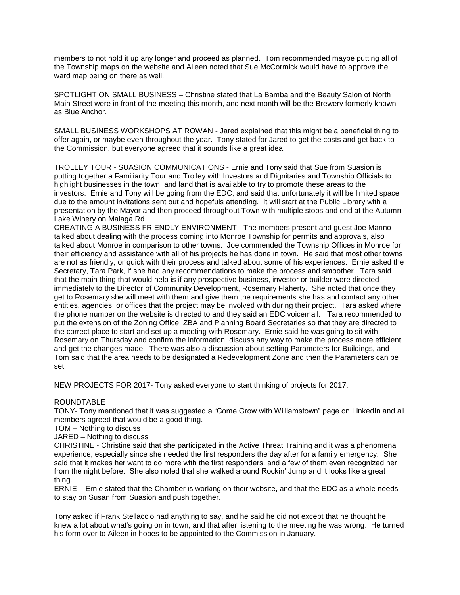members to not hold it up any longer and proceed as planned. Tom recommended maybe putting all of the Township maps on the website and Aileen noted that Sue McCormick would have to approve the ward map being on there as well.

SPOTLIGHT ON SMALL BUSINESS – Christine stated that La Bamba and the Beauty Salon of North Main Street were in front of the meeting this month, and next month will be the Brewery formerly known as Blue Anchor.

SMALL BUSINESS WORKSHOPS AT ROWAN - Jared explained that this might be a beneficial thing to offer again, or maybe even throughout the year. Tony stated for Jared to get the costs and get back to the Commission, but everyone agreed that it sounds like a great idea.

TROLLEY TOUR - SUASION COMMUNICATIONS - Ernie and Tony said that Sue from Suasion is putting together a Familiarity Tour and Trolley with Investors and Dignitaries and Township Officials to highlight businesses in the town, and land that is available to try to promote these areas to the investors. Ernie and Tony will be going from the EDC, and said that unfortunately it will be limited space due to the amount invitations sent out and hopefuls attending. It will start at the Public Library with a presentation by the Mayor and then proceed throughout Town with multiple stops and end at the Autumn Lake Winery on Malaga Rd.

CREATING A BUSINESS FRIENDLY ENVIRONMENT - The members present and guest Joe Marino talked about dealing with the process coming into Monroe Township for permits and approvals, also talked about Monroe in comparison to other towns. Joe commended the Township Offices in Monroe for their efficiency and assistance with all of his projects he has done in town. He said that most other towns are not as friendly, or quick with their process and talked about some of his experiences. Ernie asked the Secretary, Tara Park, if she had any recommendations to make the process and smoother. Tara said that the main thing that would help is if any prospective business, investor or builder were directed immediately to the Director of Community Development, Rosemary Flaherty. She noted that once they get to Rosemary she will meet with them and give them the requirements she has and contact any other entities, agencies, or offices that the project may be involved with during their project. Tara asked where the phone number on the website is directed to and they said an EDC voicemail. Tara recommended to put the extension of the Zoning Office, ZBA and Planning Board Secretaries so that they are directed to the correct place to start and set up a meeting with Rosemary. Ernie said he was going to sit with Rosemary on Thursday and confirm the information, discuss any way to make the process more efficient and get the changes made. There was also a discussion about setting Parameters for Buildings, and Tom said that the area needs to be designated a Redevelopment Zone and then the Parameters can be set.

NEW PROJECTS FOR 2017- Tony asked everyone to start thinking of projects for 2017.

### ROUNDTABLE

TONY- Tony mentioned that it was suggested a "Come Grow with Williamstown" page on LinkedIn and all members agreed that would be a good thing.

TOM – Nothing to discuss

JARED – Nothing to discuss

CHRISTINE - Christine said that she participated in the Active Threat Training and it was a phenomenal experience, especially since she needed the first responders the day after for a family emergency. She said that it makes her want to do more with the first responders, and a few of them even recognized her from the night before. She also noted that she walked around Rockin' Jump and it looks like a great thing.

ERNIE – Ernie stated that the Chamber is working on their website, and that the EDC as a whole needs to stay on Susan from Suasion and push together.

Tony asked if Frank Stellaccio had anything to say, and he said he did not except that he thought he knew a lot about what's going on in town, and that after listening to the meeting he was wrong. He turned his form over to Aileen in hopes to be appointed to the Commission in January.